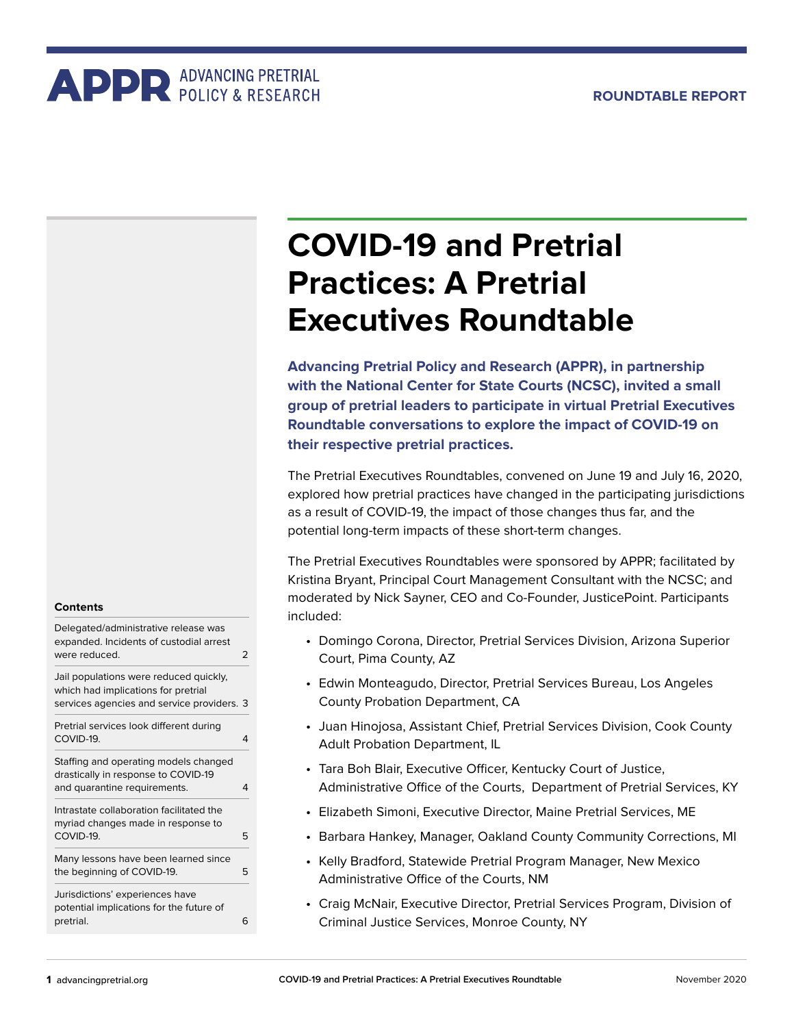# **ADDR** ADVANCING PRETRIAL

## **COVID-19 and Pretrial Practices: A Pretrial Executives Roundtable**

**Advancing Pretrial Policy and Research (APPR), in partnership with the National Center for State Courts (NCSC), invited a small group of pretrial leaders to participate in virtual Pretrial Executives Roundtable conversations to explore the impact of COVID-19 on their respective pretrial practices.** 

The Pretrial Executives Roundtables, convened on June 19 and July 16, 2020, explored how pretrial practices have changed in the participating jurisdictions as a result of COVID-19, the impact of those changes thus far, and the potential long-term impacts of these short-term changes.

The Pretrial Executives Roundtables were sponsored by APPR; facilitated by Kristina Bryant, Principal Court Management Consultant with the NCSC; and moderated by Nick Sayner, CEO and Co-Founder, JusticePoint. Participants included:

- Domingo Corona, Director, Pretrial Services Division, Arizona Superior Court, Pima County, AZ
- Edwin Monteagudo, Director, Pretrial Services Bureau, Los Angeles County Probation Department, CA
- Juan Hinojosa, Assistant Chief, Pretrial Services Division, Cook County Adult Probation Department, IL
- Tara Boh Blair, Executive Officer, Kentucky Court of Justice, Administrative Office of the Courts, Department of Pretrial Services, KY
- Elizabeth Simoni, Executive Director, Maine Pretrial Services, ME
- Barbara Hankey, Manager, Oakland County Community Corrections, MI
- Kelly Bradford, Statewide Pretrial Program Manager, New Mexico Administrative Office of the Courts, NM
- Craig McNair, Executive Director, Pretrial Services Program, Division of Criminal Justice Services, Monroe County, NY

#### **Contents**

| Delegated/administrative release was<br>expanded. Incidents of custodial arrest<br>were reduced.                            | フ   |
|-----------------------------------------------------------------------------------------------------------------------------|-----|
| Jail populations were reduced quickly,<br>which had implications for pretrial<br>services agencies and service providers. 3 |     |
| Pretrial services look different during<br>COVID-19.                                                                        | 4   |
| Staffing and operating models changed<br>drastically in response to COVID-19<br>and quarantine requirements.                | 4   |
| Intrastate collaboration facilitated the<br>myriad changes made in response to<br>COVID-19.                                 | 5   |
| Many lessons have been learned since<br>the beginning of COVID-19.                                                          | 5   |
| Jurisdictions' experiences have<br>potential implications for the future of<br>pretrial.                                    | ี่ค |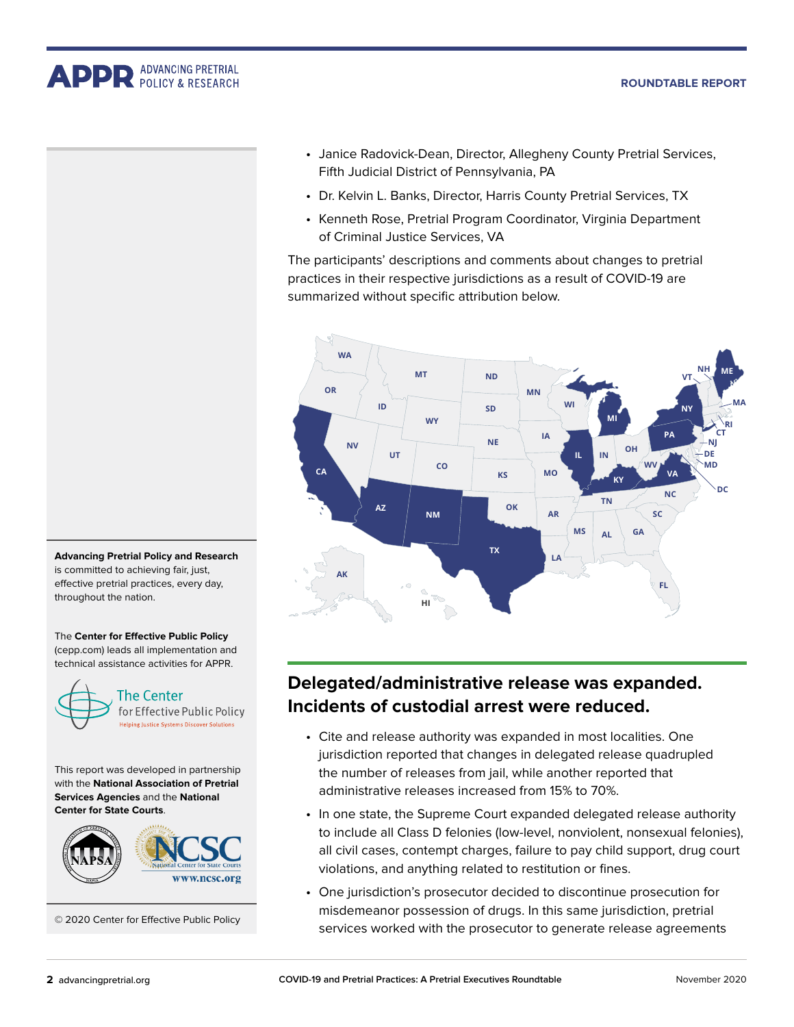#### **Roundtable Report**

<span id="page-1-0"></span>**APPR** ADVANCING PRETRIAL



- Janice Radovick-Dean, Director, Allegheny County Pretrial Services, Fifth Judicial District of Pennsylvania, PA
- Dr. Kelvin L. Banks, Director, Harris County Pretrial Services, TX
- Kenneth Rose, Pretrial Program Coordinator, Virginia Department of Criminal Justice Services, VA

The participants' descriptions and comments about changes to pretrial practices in their respective jurisdictions as a result of COVID-19 are summarized without specific attribution below.



**Advancing Pretrial Policy and Research** is committed to achieving fair, just, effective pretrial practices, every day, throughout the nation.

The **Center for Effective Public Policy** (cepp.com) leads all implementation and technical assistance activities for APPR.



This report was developed in partnership with the **National Association of Pretrial Services Agencies** and the **National Center for State Courts**.



© 2020 Center for Effective Public Policy

### **Delegated/administrative release was expanded. Incidents of custodial arrest were reduced.**

- Cite and release authority was expanded in most localities. One jurisdiction reported that changes in delegated release quadrupled the number of releases from jail, while another reported that administrative releases increased from 15% to 70%.
- In one state, the Supreme Court expanded delegated release authority to include all Class D felonies (low-level, nonviolent, nonsexual felonies), all civil cases, contempt charges, failure to pay child support, drug court violations, and anything related to restitution or fines.
- One jurisdiction's prosecutor decided to discontinue prosecution for misdemeanor possession of drugs. In this same jurisdiction, pretrial services worked with the prosecutor to generate release agreements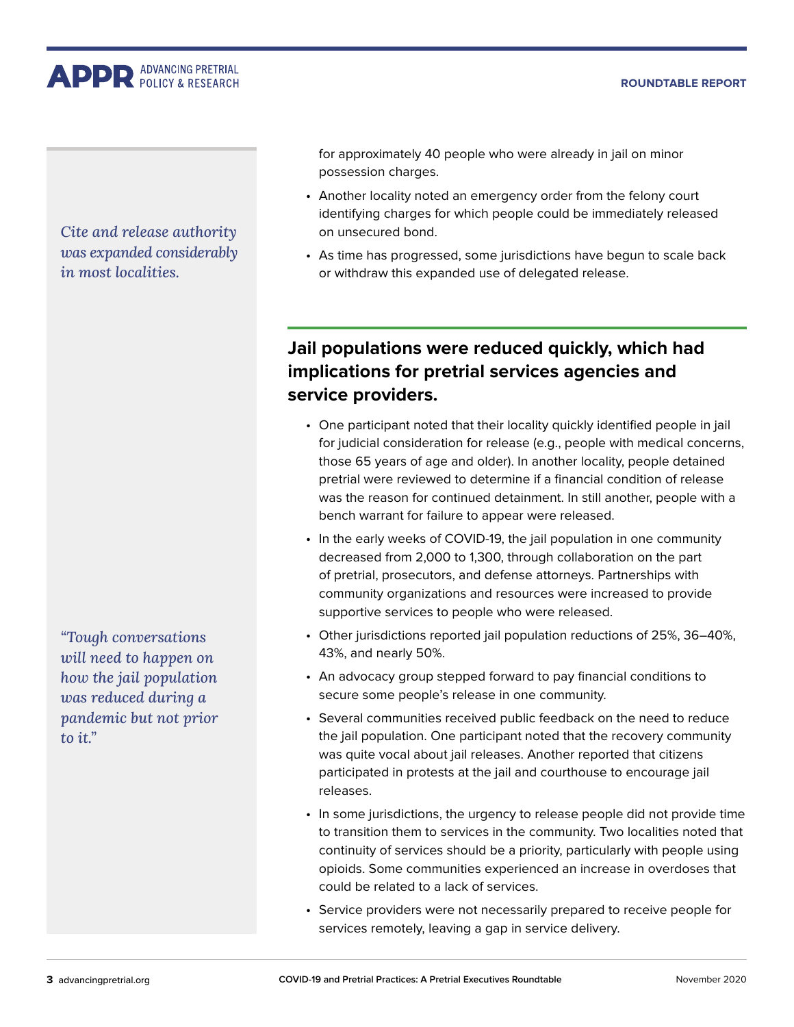#### **Roundtable Report**

<span id="page-2-0"></span>**APPR** ADVANCING PRETRIAL

*Cite and release authority was expanded considerably in most localities.*

*"Tough conversations will need to happen on how the jail population was reduced during a pandemic but not prior to it."*

for approximately 40 people who were already in jail on minor possession charges.

- Another locality noted an emergency order from the felony court identifying charges for which people could be immediately released on unsecured bond.
- As time has progressed, some jurisdictions have begun to scale back or withdraw this expanded use of delegated release.

## **Jail populations were reduced quickly, which had implications for pretrial services agencies and service providers.**

- One participant noted that their locality quickly identified people in jail for judicial consideration for release (e.g., people with medical concerns, those 65 years of age and older). In another locality, people detained pretrial were reviewed to determine if a financial condition of release was the reason for continued detainment. In still another, people with a bench warrant for failure to appear were released.
- In the early weeks of COVID-19, the jail population in one community decreased from 2,000 to 1,300, through collaboration on the part of pretrial, prosecutors, and defense attorneys. Partnerships with community organizations and resources were increased to provide supportive services to people who were released.
- Other jurisdictions reported jail population reductions of 25%, 36–40%, 43%, and nearly 50%.
- An advocacy group stepped forward to pay financial conditions to secure some people's release in one community.
- Several communities received public feedback on the need to reduce the jail population. One participant noted that the recovery community was quite vocal about jail releases. Another reported that citizens participated in protests at the jail and courthouse to encourage jail releases.
- In some jurisdictions, the urgency to release people did not provide time to transition them to services in the community. Two localities noted that continuity of services should be a priority, particularly with people using opioids. Some communities experienced an increase in overdoses that could be related to a lack of services.
- Service providers were not necessarily prepared to receive people for services remotely, leaving a gap in service delivery.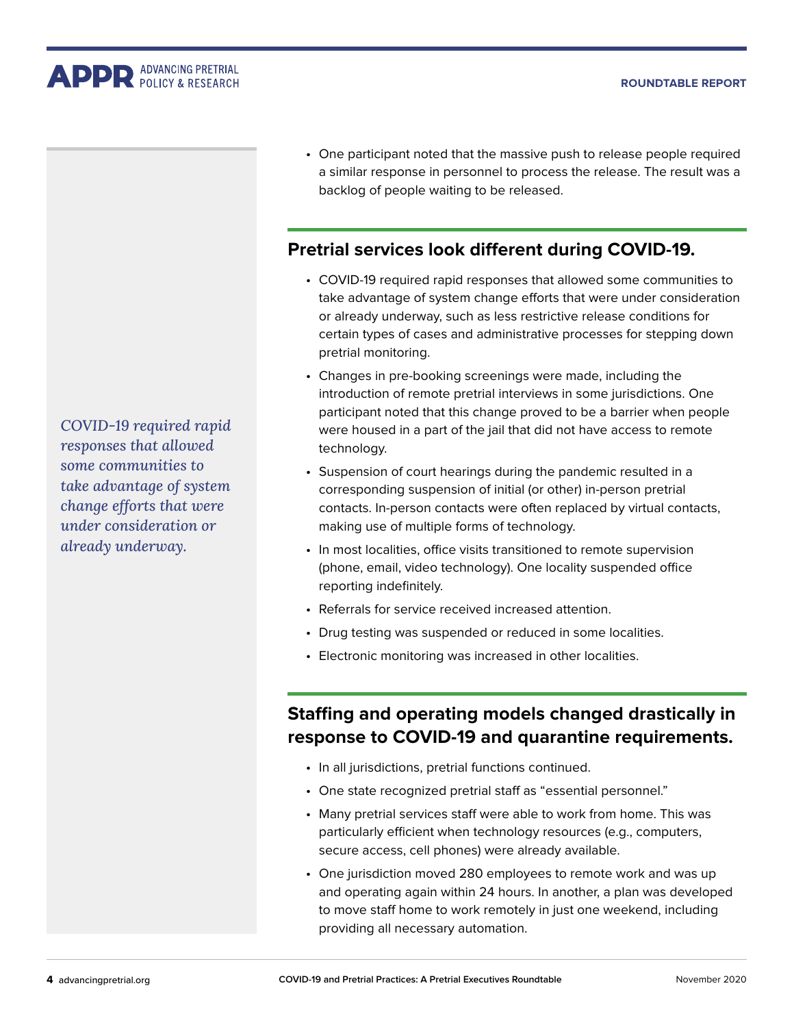<span id="page-3-0"></span>

*COVID-19 required rapid responses that allowed some communities to take advantage of system change efforts that were under consideration or already underway.*

• One participant noted that the massive push to release people required a similar response in personnel to process the release. The result was a backlog of people waiting to be released.

#### **Pretrial services look different during COVID-19.**

- COVID-19 required rapid responses that allowed some communities to take advantage of system change efforts that were under consideration or already underway, such as less restrictive release conditions for certain types of cases and administrative processes for stepping down pretrial monitoring.
- Changes in pre-booking screenings were made, including the introduction of remote pretrial interviews in some jurisdictions. One participant noted that this change proved to be a barrier when people were housed in a part of the jail that did not have access to remote technology.
- Suspension of court hearings during the pandemic resulted in a corresponding suspension of initial (or other) in-person pretrial contacts. In-person contacts were often replaced by virtual contacts, making use of multiple forms of technology.
- In most localities, office visits transitioned to remote supervision (phone, email, video technology). One locality suspended office reporting indefinitely.
- Referrals for service received increased attention.
- Drug testing was suspended or reduced in some localities.
- Electronic monitoring was increased in other localities.

## **Staffing and operating models changed drastically in response to COVID-19 and quarantine requirements.**

- In all jurisdictions, pretrial functions continued.
- One state recognized pretrial staff as "essential personnel."
- Many pretrial services staff were able to work from home. This was particularly efficient when technology resources (e.g., computers, secure access, cell phones) were already available.
- One jurisdiction moved 280 employees to remote work and was up and operating again within 24 hours. In another, a plan was developed to move staff home to work remotely in just one weekend, including providing all necessary automation.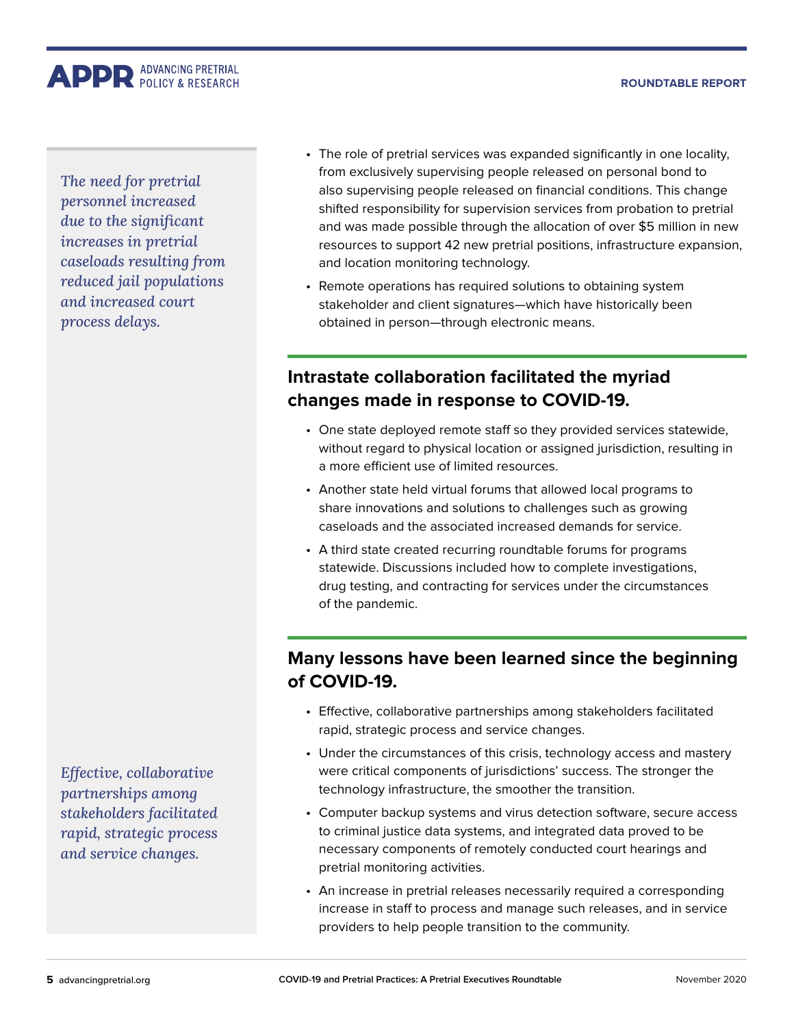#### **Roundtable Report**

<span id="page-4-0"></span>**APPR** ADVANCING PRETRIAL

*The need for pretrial personnel increased due to the significant increases in pretrial caseloads resulting from reduced jail populations and increased court process delays.*

*Effective, collaborative partnerships among stakeholders facilitated rapid, strategic process and service changes.*

- The role of pretrial services was expanded significantly in one locality, from exclusively supervising people released on personal bond to also supervising people released on financial conditions. This change shifted responsibility for supervision services from probation to pretrial and was made possible through the allocation of over \$5 million in new resources to support 42 new pretrial positions, infrastructure expansion, and location monitoring technology.
- Remote operations has required solutions to obtaining system stakeholder and client signatures—which have historically been obtained in person—through electronic means.

## **Intrastate collaboration facilitated the myriad changes made in response to COVID-19.**

- One state deployed remote staff so they provided services statewide, without regard to physical location or assigned jurisdiction, resulting in a more efficient use of limited resources.
- Another state held virtual forums that allowed local programs to share innovations and solutions to challenges such as growing caseloads and the associated increased demands for service.
- A third state created recurring roundtable forums for programs statewide. Discussions included how to complete investigations, drug testing, and contracting for services under the circumstances of the pandemic.

### **Many lessons have been learned since the beginning of COVID-19.**

- Effective, collaborative partnerships among stakeholders facilitated rapid, strategic process and service changes.
- Under the circumstances of this crisis, technology access and mastery were critical components of jurisdictions' success. The stronger the technology infrastructure, the smoother the transition.
- Computer backup systems and virus detection software, secure access to criminal justice data systems, and integrated data proved to be necessary components of remotely conducted court hearings and pretrial monitoring activities.
- An increase in pretrial releases necessarily required a corresponding increase in staff to process and manage such releases, and in service providers to help people transition to the community.